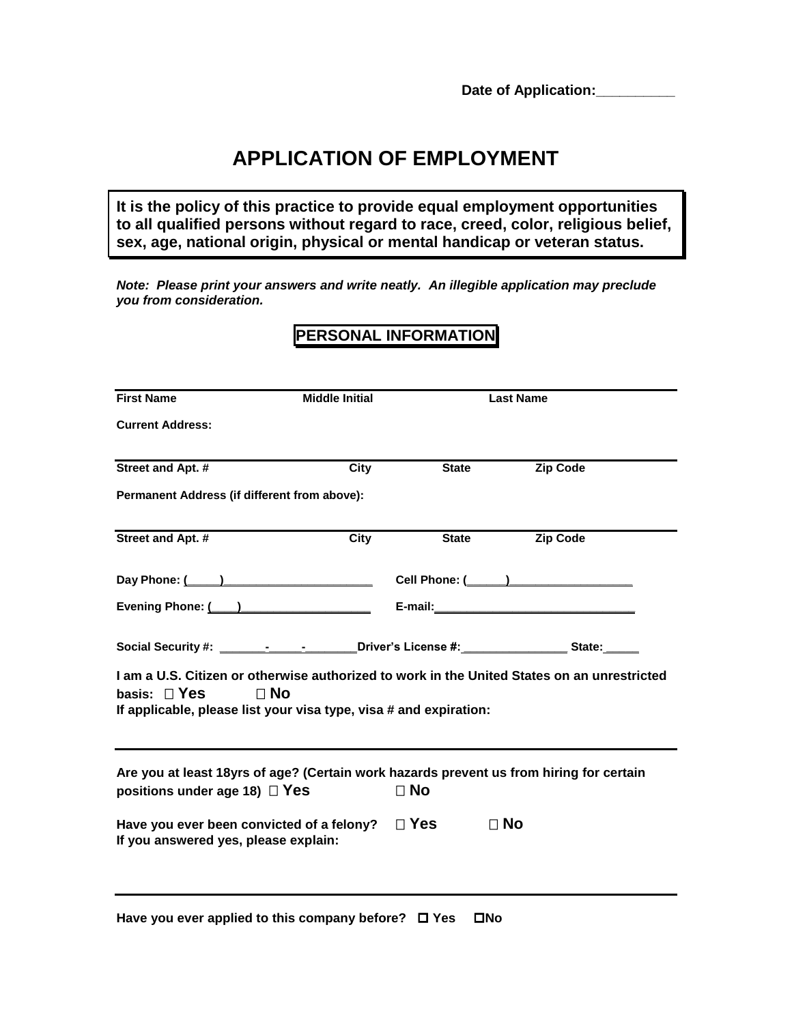## **APPLICATION OF EMPLOYMENT**

**It is the policy of this practice to provide equal employment opportunities to all qualified persons without regard to race, creed, color, religious belief, sex, age, national origin, physical or mental handicap or veteran status.**

*Note: Please print your answers and write neatly. An illegible application may preclude you from consideration.*

## **PERSONAL INFORMATION**

| <b>First Name</b>                                                                                          | <b>Middle Initial</b> |              | <b>Last Name</b>                                                                            |  |
|------------------------------------------------------------------------------------------------------------|-----------------------|--------------|---------------------------------------------------------------------------------------------|--|
| <b>Current Address:</b>                                                                                    |                       |              |                                                                                             |  |
| Street and Apt. #                                                                                          | City                  | <b>State</b> | <b>Zip Code</b>                                                                             |  |
| Permanent Address (if different from above):                                                               |                       |              |                                                                                             |  |
| Street and Apt. #                                                                                          | City                  | <b>State</b> | <b>Zip Code</b>                                                                             |  |
| Day Phone: ( )                                                                                             |                       |              |                                                                                             |  |
| Evening Phone: ( )                                                                                         |                       |              |                                                                                             |  |
| Social Security #: <u>_________________________</u> Driver's License #: _____________________State: ______ |                       |              |                                                                                             |  |
| $\Box$ No<br>basis: $\Box$ Yes<br>If applicable, please list your visa type, visa # and expiration:        |                       |              | I am a U.S. Citizen or otherwise authorized to work in the United States on an unrestricted |  |
| positions under age 18) $\Box$ Yes                                                                         |                       | $\Box$ No    | Are you at least 18yrs of age? (Certain work hazards prevent us from hiring for certain     |  |
| Have you ever been convicted of a felony? $\square$ Yes<br>If you answered yes, please explain:            |                       |              | $\Box$ No                                                                                   |  |

**Have you ever applied to this company before? □ Yes □ No**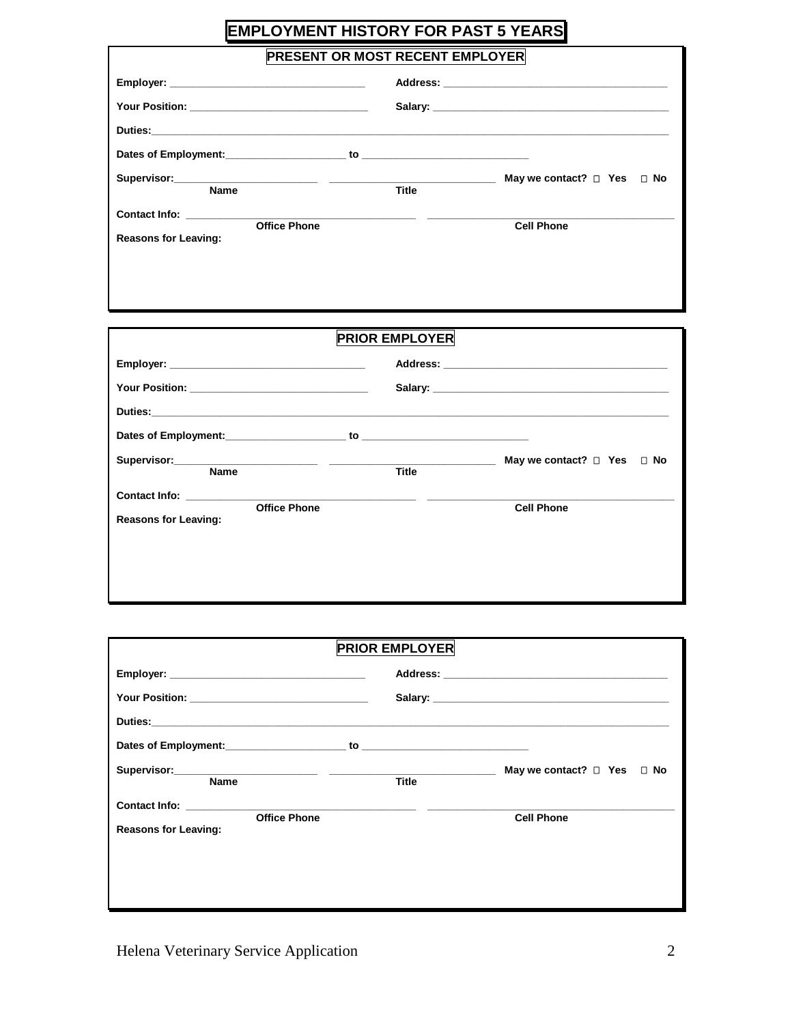## **EMPLOYMENT HISTORY FOR PAST 5 YEARS**

**PRESENT OR MOST RECENT EMPLOYER** 

| Dates of Employment: to the contract of the contract of the contract of the contract of the contract of the contract of the contract of the contract of the contract of the contract of the contract of the contract of the co |              |                                      |
|--------------------------------------------------------------------------------------------------------------------------------------------------------------------------------------------------------------------------------|--------------|--------------------------------------|
| Name                                                                                                                                                                                                                           | <b>Title</b> | May we contact? $\Box$ Yes $\Box$ No |
| <b>Office Phone</b><br><b>Reasons for Leaving:</b>                                                                                                                                                                             |              | <b>Cell Phone</b>                    |

| <b>PRIOR EMPLOYER</b>                                                                                                                                                                                                            |                                                         |  |  |  |  |
|----------------------------------------------------------------------------------------------------------------------------------------------------------------------------------------------------------------------------------|---------------------------------------------------------|--|--|--|--|
|                                                                                                                                                                                                                                  |                                                         |  |  |  |  |
|                                                                                                                                                                                                                                  |                                                         |  |  |  |  |
| Duties: <b>Duties: Duties: Contract Contract Contract Contract Contract Contract Contract Contract Contract Contract Contract Contract Contract Contract Contract Contract Contract Contract Contract Contract Contract Cont</b> |                                                         |  |  |  |  |
|                                                                                                                                                                                                                                  |                                                         |  |  |  |  |
| Name                                                                                                                                                                                                                             | May we contact? $\Box$ Yes<br>$\Box$ No<br><b>Title</b> |  |  |  |  |
| <b>Contact Info: Contact Info:</b><br><b>Office Phone</b><br><b>Reasons for Leaving:</b>                                                                                                                                         | <b>Cell Phone</b>                                       |  |  |  |  |
|                                                                                                                                                                                                                                  |                                                         |  |  |  |  |

| Dates of Employment: to the contract of the contract of the contract of the contract of the contract of the contract of the contract of the contract of the contract of the contract of the contract of the contract of the co |
|--------------------------------------------------------------------------------------------------------------------------------------------------------------------------------------------------------------------------------|
| May we contact? $\Box$ Yes $\Box$ No                                                                                                                                                                                           |
| <b>Title</b>                                                                                                                                                                                                                   |
|                                                                                                                                                                                                                                |
| <b>Cell Phone</b>                                                                                                                                                                                                              |
|                                                                                                                                                                                                                                |
|                                                                                                                                                                                                                                |
|                                                                                                                                                                                                                                |
|                                                                                                                                                                                                                                |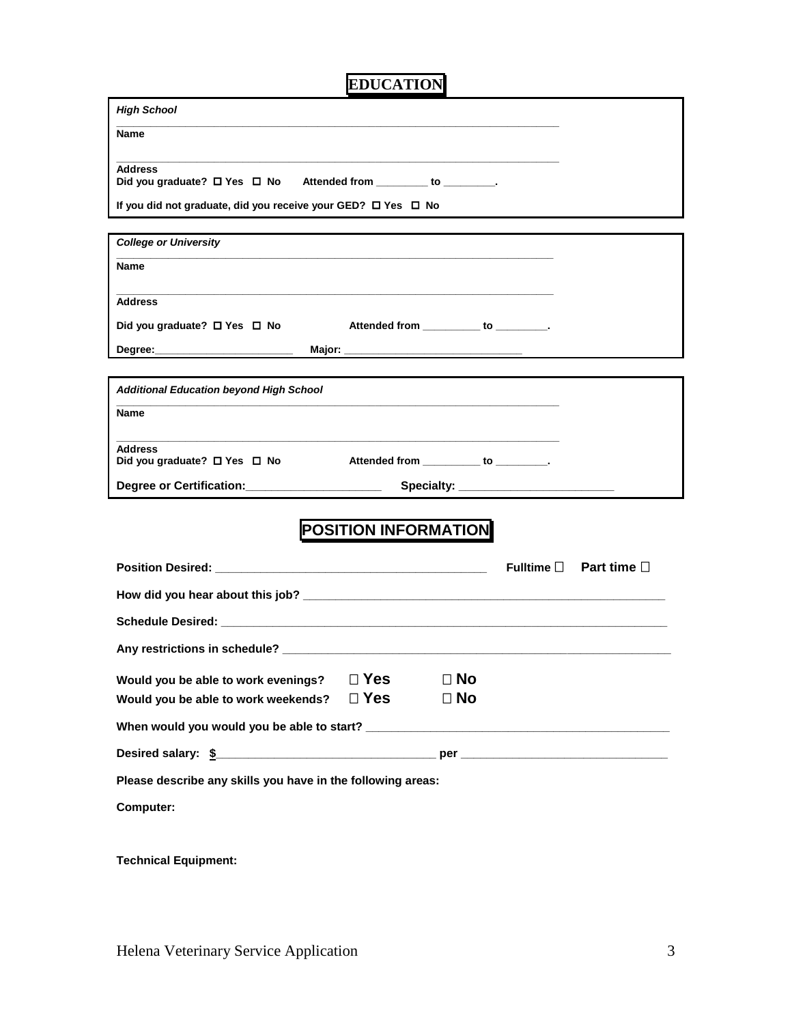## **EDUCATION**

| <b>High School</b>                                                                                                                                                                                                                                                 |  |  |  |  |  |  |  |  |
|--------------------------------------------------------------------------------------------------------------------------------------------------------------------------------------------------------------------------------------------------------------------|--|--|--|--|--|--|--|--|
|                                                                                                                                                                                                                                                                    |  |  |  |  |  |  |  |  |
| Name                                                                                                                                                                                                                                                               |  |  |  |  |  |  |  |  |
| the control of the control of the control of the control of the control of the control of the control of the control of the control of the control of the control of the control of the control of the control of the control<br><b>Address</b>                    |  |  |  |  |  |  |  |  |
| Did you graduate? $\Box$ Yes $\Box$ No Attended from ________ to _______.                                                                                                                                                                                          |  |  |  |  |  |  |  |  |
| If you did not graduate, did you receive your GED? □ Yes □ No                                                                                                                                                                                                      |  |  |  |  |  |  |  |  |
|                                                                                                                                                                                                                                                                    |  |  |  |  |  |  |  |  |
| <b>College or University</b>                                                                                                                                                                                                                                       |  |  |  |  |  |  |  |  |
| Name                                                                                                                                                                                                                                                               |  |  |  |  |  |  |  |  |
| <u> 1989 - Johann Stoff, amerikansk politiker (d. 1989)</u>                                                                                                                                                                                                        |  |  |  |  |  |  |  |  |
| <b>Address</b>                                                                                                                                                                                                                                                     |  |  |  |  |  |  |  |  |
| Did you graduate? □ Yes □ No<br>Attended from __________ to _________.                                                                                                                                                                                             |  |  |  |  |  |  |  |  |
| Degree:__________________________                                                                                                                                                                                                                                  |  |  |  |  |  |  |  |  |
|                                                                                                                                                                                                                                                                    |  |  |  |  |  |  |  |  |
| <b>Additional Education beyond High School</b>                                                                                                                                                                                                                     |  |  |  |  |  |  |  |  |
| Name                                                                                                                                                                                                                                                               |  |  |  |  |  |  |  |  |
|                                                                                                                                                                                                                                                                    |  |  |  |  |  |  |  |  |
| <b>Address</b>                                                                                                                                                                                                                                                     |  |  |  |  |  |  |  |  |
| Did you graduate? □ Yes □ No<br>Attended from __________ to ________.                                                                                                                                                                                              |  |  |  |  |  |  |  |  |
| Degree or Certification: Degree or Certification:                                                                                                                                                                                                                  |  |  |  |  |  |  |  |  |
|                                                                                                                                                                                                                                                                    |  |  |  |  |  |  |  |  |
| <b>POSITION INFORMATION</b>                                                                                                                                                                                                                                        |  |  |  |  |  |  |  |  |
|                                                                                                                                                                                                                                                                    |  |  |  |  |  |  |  |  |
| Fulltime $\Box$ Part time $\Box$<br>Position Desired: New York Desired: New York Desired: New York Desired: New York Desired: New York Desired: New York Desired: New York Desired: New York Desired: New York Desired: New York Desired: New York Desired: New Yo |  |  |  |  |  |  |  |  |
|                                                                                                                                                                                                                                                                    |  |  |  |  |  |  |  |  |
| Schedule Desired: with a state of the state of the state of the state of the state of the state of the state o                                                                                                                                                     |  |  |  |  |  |  |  |  |
|                                                                                                                                                                                                                                                                    |  |  |  |  |  |  |  |  |
|                                                                                                                                                                                                                                                                    |  |  |  |  |  |  |  |  |
| $\Box$ Yes<br>$\Box$ No<br>Would you be able to work evenings?                                                                                                                                                                                                     |  |  |  |  |  |  |  |  |
| <b>⊟ Yes</b><br>$\Box$ No<br>Would you be able to work weekends?                                                                                                                                                                                                   |  |  |  |  |  |  |  |  |
|                                                                                                                                                                                                                                                                    |  |  |  |  |  |  |  |  |
|                                                                                                                                                                                                                                                                    |  |  |  |  |  |  |  |  |
|                                                                                                                                                                                                                                                                    |  |  |  |  |  |  |  |  |
| Please describe any skills you have in the following areas:                                                                                                                                                                                                        |  |  |  |  |  |  |  |  |
| Computer:                                                                                                                                                                                                                                                          |  |  |  |  |  |  |  |  |

**Technical Equipment:**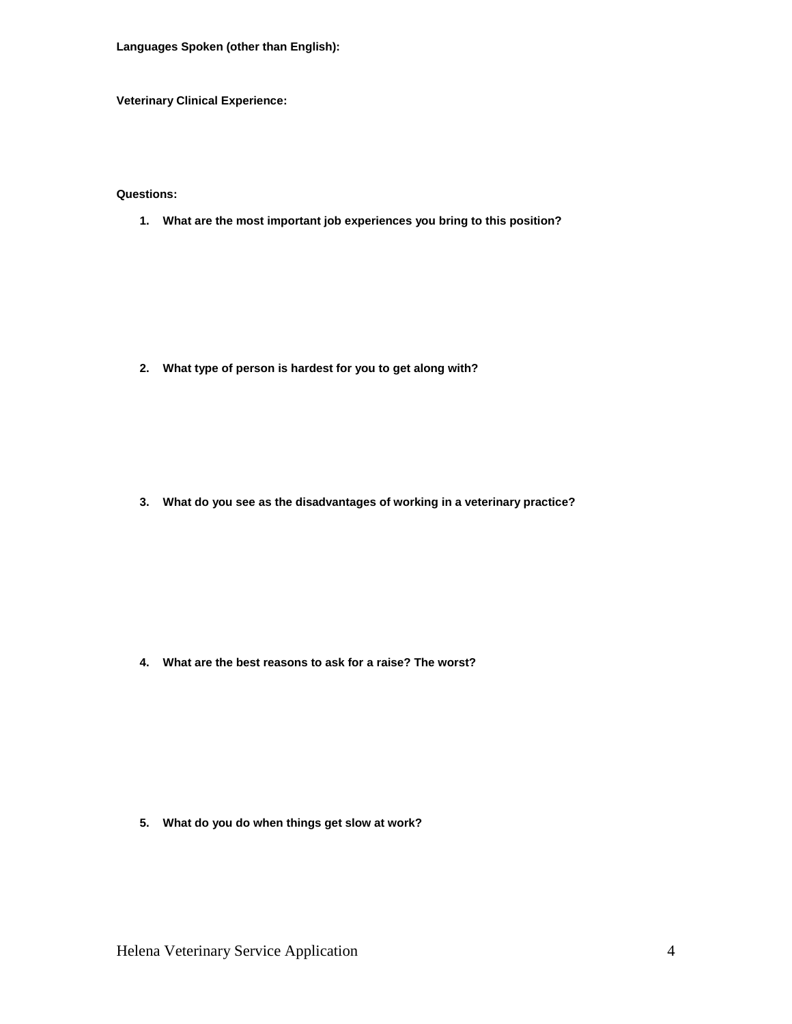**Languages Spoken (other than English):** 

**Veterinary Clinical Experience:** 

**Questions:**

**1. What are the most important job experiences you bring to this position?**

**2. What type of person is hardest for you to get along with?**

**3. What do you see as the disadvantages of working in a veterinary practice?**

**4. What are the best reasons to ask for a raise? The worst?**

**5. What do you do when things get slow at work?**